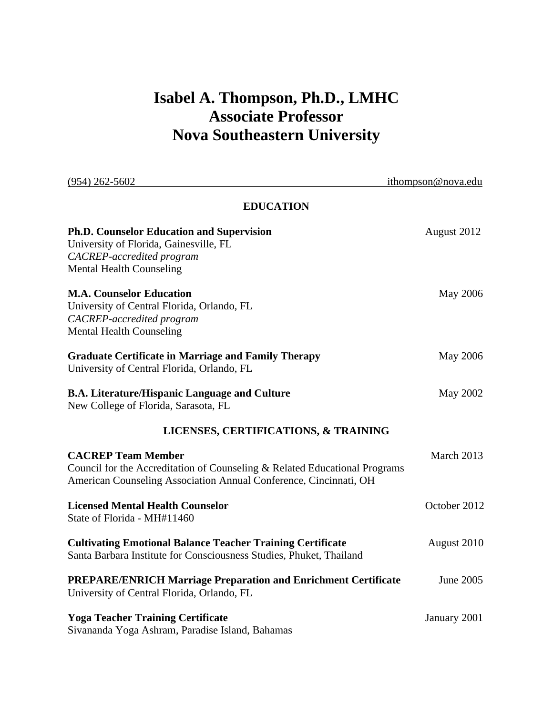# **Isabel A. Thompson, Ph.D., LMHC Associate Professor Nova Southeastern University**

| $(954)$ 262-5602                                                                                                                                                             | ithompson@nova.edu |  |
|------------------------------------------------------------------------------------------------------------------------------------------------------------------------------|--------------------|--|
| <b>EDUCATION</b>                                                                                                                                                             |                    |  |
| <b>Ph.D. Counselor Education and Supervision</b><br>University of Florida, Gainesville, FL<br>CACREP-accredited program<br><b>Mental Health Counseling</b>                   | August 2012        |  |
| <b>M.A. Counselor Education</b><br>University of Central Florida, Orlando, FL<br>CACREP-accredited program<br><b>Mental Health Counseling</b>                                | May 2006           |  |
| <b>Graduate Certificate in Marriage and Family Therapy</b><br>University of Central Florida, Orlando, FL                                                                     | May 2006           |  |
| <b>B.A. Literature/Hispanic Language and Culture</b><br>New College of Florida, Sarasota, FL                                                                                 | May 2002           |  |
| LICENSES, CERTIFICATIONS, & TRAINING                                                                                                                                         |                    |  |
| <b>CACREP Team Member</b><br>Council for the Accreditation of Counseling & Related Educational Programs<br>American Counseling Association Annual Conference, Cincinnati, OH | March 2013         |  |
| <b>Licensed Mental Health Counselor</b><br>State of Florida - MH#11460                                                                                                       | October 2012       |  |
| <b>Cultivating Emotional Balance Teacher Training Certificate</b><br>Santa Barbara Institute for Consciousness Studies, Phuket, Thailand                                     | August 2010        |  |
| <b>PREPARE/ENRICH Marriage Preparation and Enrichment Certificate</b><br>University of Central Florida, Orlando, FL                                                          | June 2005          |  |
| <b>Yoga Teacher Training Certificate</b><br>Sivananda Yoga Ashram, Paradise Island, Bahamas                                                                                  | January 2001       |  |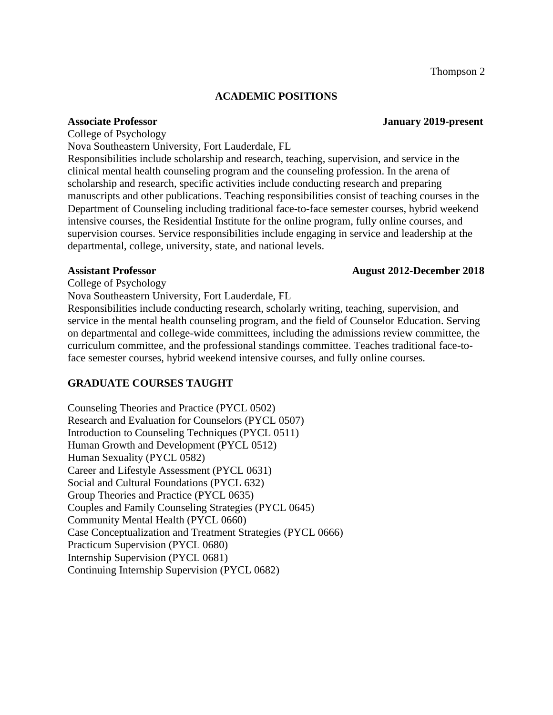#### **ACADEMIC POSITIONS**

College of Psychology

Nova Southeastern University, Fort Lauderdale, FL

Responsibilities include scholarship and research, teaching, supervision, and service in the clinical mental health counseling program and the counseling profession. In the arena of scholarship and research, specific activities include conducting research and preparing manuscripts and other publications. Teaching responsibilities consist of teaching courses in the Department of Counseling including traditional face-to-face semester courses, hybrid weekend intensive courses, the Residential Institute for the online program, fully online courses, and supervision courses. Service responsibilities include engaging in service and leadership at the departmental, college, university, state, and national levels.

#### **Assistant Professor August 2012-December 2018**

College of Psychology

Nova Southeastern University, Fort Lauderdale, FL

Responsibilities include conducting research, scholarly writing, teaching, supervision, and service in the mental health counseling program, and the field of Counselor Education. Serving on departmental and college-wide committees, including the admissions review committee, the curriculum committee, and the professional standings committee. Teaches traditional face-toface semester courses, hybrid weekend intensive courses, and fully online courses.

# **GRADUATE COURSES TAUGHT**

Counseling Theories and Practice (PYCL 0502) Research and Evaluation for Counselors (PYCL 0507) Introduction to Counseling Techniques (PYCL 0511) Human Growth and Development (PYCL 0512) Human Sexuality (PYCL 0582) Career and Lifestyle Assessment (PYCL 0631) Social and Cultural Foundations (PYCL 632) Group Theories and Practice (PYCL 0635) Couples and Family Counseling Strategies (PYCL 0645) Community Mental Health (PYCL 0660) Case Conceptualization and Treatment Strategies (PYCL 0666) Practicum Supervision (PYCL 0680) Internship Supervision (PYCL 0681) Continuing Internship Supervision (PYCL 0682)

# **Associate Professor January 2019-present**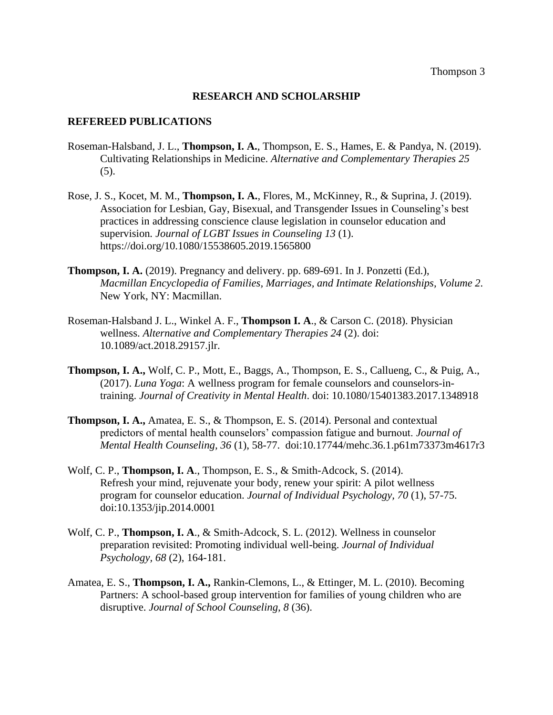#### **RESEARCH AND SCHOLARSHIP**

#### **REFEREED PUBLICATIONS**

- Roseman-Halsband, J. L., **Thompson, I. A.**, Thompson, E. S., Hames, E. & Pandya, N. (2019). Cultivating Relationships in Medicine. *Alternative and Complementary Therapies 25* (5).
- Rose, J. S., Kocet, M. M., **Thompson, I. A.**, Flores, M., McKinney, R., & Suprina, J. (2019). Association for Lesbian, Gay, Bisexual, and Transgender Issues in Counseling's best practices in addressing conscience clause legislation in counselor education and supervision*. Journal of LGBT Issues in Counseling 13* (1). https://doi.org/10.1080/15538605.2019.1565800
- **Thompson, I. A.** (2019). Pregnancy and delivery. pp. 689-691. In J. Ponzetti (Ed.), *Macmillan Encyclopedia of Families, Marriages, and Intimate Relationships, Volume 2.* New York, NY: Macmillan.
- Roseman-Halsband J. L., Winkel A. F., **Thompson I. A**., & Carson C. (2018). Physician wellness. *Alternative and Complementary Therapies 24* (2). doi: 10.1089/act.2018.29157.jlr.
- **Thompson, I. A.,** Wolf, C. P., Mott, E., Baggs, A., Thompson, E. S., Callueng, C., & Puig, A., (2017). *Luna Yoga*: A wellness program for female counselors and counselors-intraining. *Journal of Creativity in Mental Health*. doi: 10.1080/15401383.2017.1348918
- **Thompson, I. A.,** Amatea, E. S., & Thompson, E. S. (2014). Personal and contextual predictors of mental health counselors' compassion fatigue and burnout. *Journal of Mental Health Counseling, 36* (1), 58-77. doi:10.17744/mehc.36.1.p61m73373m4617r3
- Wolf, C. P., **Thompson, I. A**., Thompson, E. S., & Smith-Adcock, S. (2014). Refresh your mind, rejuvenate your body, renew your spirit: A pilot wellness program for counselor education. *Journal of Individual Psychology, 70* (1), 57-75. doi:10.1353/jip.2014.0001
- Wolf, C. P., **Thompson, I. A**., & Smith-Adcock, S. L. (2012). Wellness in counselor preparation revisited: Promoting individual well-being. *Journal of Individual Psychology, 68* (2), 164-181.
- Amatea, E. S., **Thompson, I. A.,** Rankin-Clemons, L., & Ettinger, M. L. (2010). Becoming Partners: A school-based group intervention for families of young children who are disruptive. *Journal of School Counseling, 8* (36).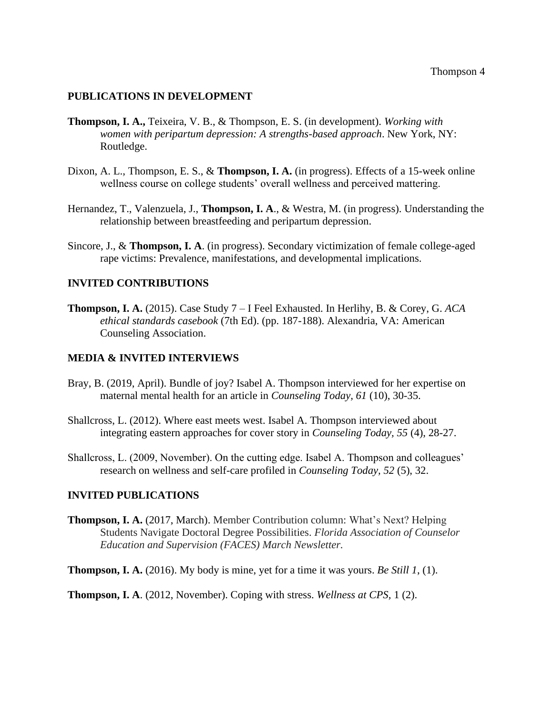#### **PUBLICATIONS IN DEVELOPMENT**

- **Thompson, I. A.,** Teixeira, V. B., & Thompson, E. S. (in development). *Working with women with peripartum depression: A strengths-based approach*. New York, NY: Routledge.
- Dixon, A. L., Thompson, E. S., & **Thompson, I. A.** (in progress). Effects of a 15-week online wellness course on college students' overall wellness and perceived mattering.
- Hernandez, T., Valenzuela, J., **Thompson, I. A**., & Westra, M. (in progress). Understanding the relationship between breastfeeding and peripartum depression.
- Sincore, J., & **Thompson, I. A**. (in progress). Secondary victimization of female college-aged rape victims: Prevalence, manifestations, and developmental implications.

#### **INVITED CONTRIBUTIONS**

**Thompson, I. A.** (2015). Case Study 7 – I Feel Exhausted. In Herlihy, B. & Corey, G. *ACA ethical standards casebook* (7th Ed). (pp. 187-188). Alexandria, VA: American Counseling Association.

#### **MEDIA & INVITED INTERVIEWS**

- Bray, B. (2019, April). Bundle of joy? Isabel A. Thompson interviewed for her expertise on maternal mental health for an article in *Counseling Today, 61* (10), 30-35.
- Shallcross, L. (2012). Where east meets west. Isabel A. Thompson interviewed about integrating eastern approaches for cover story in *Counseling Today, 55* (4), 28-27.
- Shallcross, L. (2009, November). On the cutting edge. Isabel A. Thompson and colleagues' research on wellness and self-care profiled in *Counseling Today, 52* (5), 32.

#### **INVITED PUBLICATIONS**

- **Thompson, I. A.** (2017, March). Member Contribution column: What's Next? Helping Students Navigate Doctoral Degree Possibilities. *Florida Association of Counselor Education and Supervision (FACES) March Newsletter.*
- **Thompson, I. A.** (2016). My body is mine, yet for a time it was yours. *Be Still 1*, (1).

**Thompson, I. A**. (2012, November). Coping with stress. *Wellness at CPS,* 1 (2).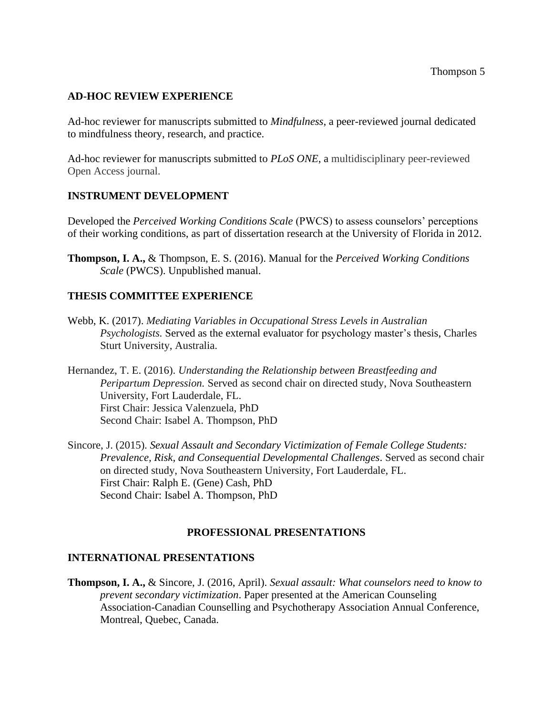# **AD-HOC REVIEW EXPERIENCE**

Ad-hoc reviewer for manuscripts submitted to *Mindfulness*, a peer-reviewed journal dedicated to mindfulness theory, research, and practice.

Ad-hoc reviewer for manuscripts submitted to *PLoS ONE*, a multidisciplinary peer-reviewed Open Access journal.

# **INSTRUMENT DEVELOPMENT**

Developed the *Perceived Working Conditions Scale* (PWCS) to assess counselors' perceptions of their working conditions, as part of dissertation research at the University of Florida in 2012.

**Thompson, I. A.,** & Thompson, E. S. (2016). Manual for the *Perceived Working Conditions Scale* (PWCS). Unpublished manual.

# **THESIS COMMITTEE EXPERIENCE**

Webb, K. (2017). *Mediating Variables in Occupational Stress Levels in Australian Psychologists.* Served as the external evaluator for psychology master's thesis, Charles Sturt University, Australia.

Hernandez, T. E. (2016). *Understanding the Relationship between Breastfeeding and Peripartum Depression.* Served as second chair on directed study, Nova Southeastern University, Fort Lauderdale, FL. First Chair: Jessica Valenzuela, PhD Second Chair: Isabel A. Thompson, PhD

Sincore, J. (2015). *Sexual Assault and Secondary Victimization of Female College Students: Prevalence, Risk, and Consequential Developmental Challenges*. Served as second chair on directed study, Nova Southeastern University, Fort Lauderdale, FL. First Chair: Ralph E. (Gene) Cash, PhD Second Chair: Isabel A. Thompson, PhD

### **PROFESSIONAL PRESENTATIONS**

### **INTERNATIONAL PRESENTATIONS**

**Thompson, I. A.,** & Sincore, J. (2016, April). *Sexual assault: What counselors need to know to prevent secondary victimization*. Paper presented at the American Counseling Association-Canadian Counselling and Psychotherapy Association Annual Conference, Montreal, Quebec, Canada.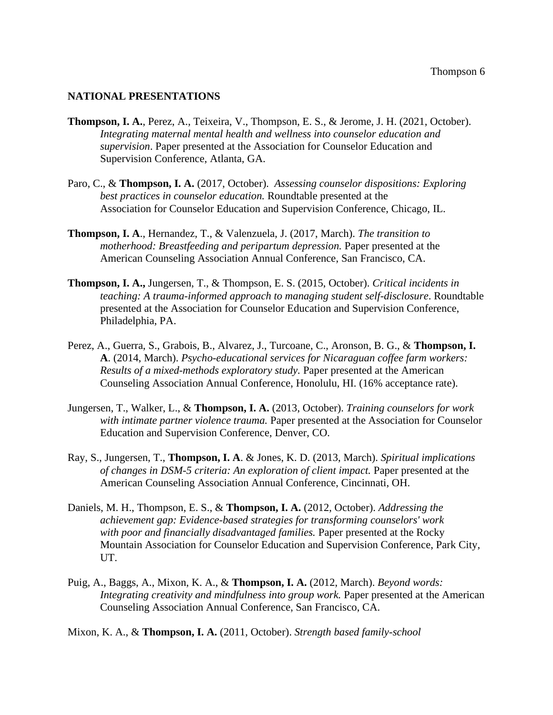#### **NATIONAL PRESENTATIONS**

- **Thompson, I. A.**, Perez, A., Teixeira, V., Thompson, E. S., & Jerome, J. H. (2021, October). *Integrating maternal mental health and wellness into counselor education and supervision*. Paper presented at the Association for Counselor Education and Supervision Conference, Atlanta, GA.
- Paro, C., & **Thompson, I. A.** (2017, October). *Assessing counselor dispositions: Exploring best practices in counselor education.* Roundtable presented at the Association for Counselor Education and Supervision Conference, Chicago, IL.
- **Thompson, I. A**., Hernandez, T., & Valenzuela, J. (2017, March). *The transition to motherhood: Breastfeeding and peripartum depression.* Paper presented at the American Counseling Association Annual Conference, San Francisco, CA.
- **Thompson, I. A.,** Jungersen, T., & Thompson, E. S. (2015, October). *Critical incidents in teaching: A trauma-informed approach to managing student self-disclosure*. Roundtable presented at the Association for Counselor Education and Supervision Conference, Philadelphia, PA.
- Perez, A., Guerra, S., Grabois, B., Alvarez, J., Turcoane, C., Aronson, B. G., & **Thompson, I. A**. (2014, March). *Psycho-educational services for Nicaraguan coffee farm workers: Results of a mixed-methods exploratory study.* Paper presented at the American Counseling Association Annual Conference, Honolulu, HI. (16% acceptance rate).
- Jungersen, T., Walker, L., & **Thompson, I. A.** (2013, October). *Training counselors for work with intimate partner violence trauma.* Paper presented at the Association for Counselor Education and Supervision Conference, Denver, CO.
- Ray, S., Jungersen, T., **Thompson, I. A**. & Jones, K. D. (2013, March). *Spiritual implications of changes in DSM-5 criteria: An exploration of client impact.* Paper presented at the American Counseling Association Annual Conference, Cincinnati, OH.
- Daniels, M. H., Thompson, E. S., & **Thompson, I. A.** (2012, October). *Addressing the achievement gap: Evidence-based strategies for transforming counselors' work with poor and financially disadvantaged families.* Paper presented at the Rocky Mountain Association for Counselor Education and Supervision Conference, Park City, UT.
- Puig, A., Baggs, A., Mixon, K. A., & **Thompson, I. A.** (2012, March). *Beyond words: Integrating creativity and mindfulness into group work.* Paper presented at the American Counseling Association Annual Conference, San Francisco, CA.

Mixon, K. A., & **Thompson, I. A.** (2011, October). *Strength based family-school*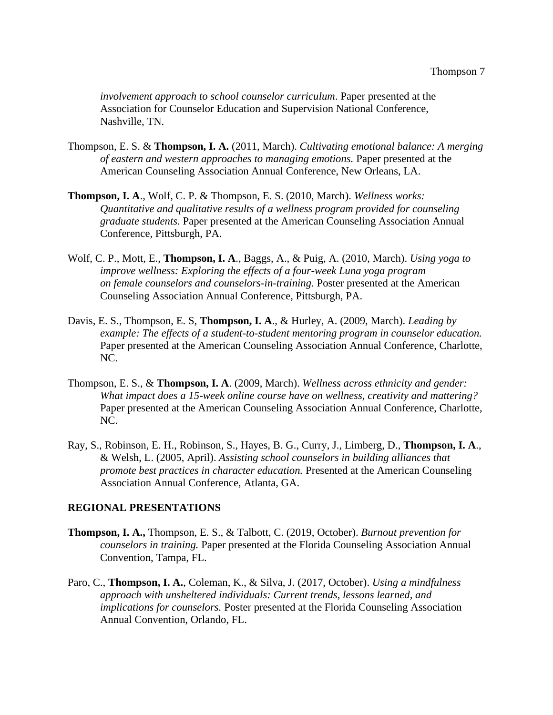*involvement approach to school counselor curriculum*. Paper presented at the Association for Counselor Education and Supervision National Conference, Nashville, TN.

- Thompson, E. S. & **Thompson, I. A.** (2011, March). *Cultivating emotional balance: A merging of eastern and western approaches to managing emotions.* Paper presented at the American Counseling Association Annual Conference, New Orleans, LA.
- **Thompson, I. A**., Wolf, C. P. & Thompson, E. S. (2010, March). *Wellness works: Quantitative and qualitative results of a wellness program provided for counseling graduate students.* Paper presented at the American Counseling Association Annual Conference, Pittsburgh, PA.
- Wolf, C. P., Mott, E., **Thompson, I. A**., Baggs, A., & Puig, A. (2010, March). *Using yoga to improve wellness: Exploring the effects of a four-week Luna yoga program on female counselors and counselors-in-training.* Poster presented at the American Counseling Association Annual Conference, Pittsburgh, PA.
- Davis, E. S., Thompson, E. S, **Thompson, I. A**., & Hurley, A. (2009, March). *Leading by example: The effects of a student-to-student mentoring program in counselor education.*  Paper presented at the American Counseling Association Annual Conference, Charlotte, NC.
- Thompson, E. S., & **Thompson, I. A**. (2009, March). *Wellness across ethnicity and gender: What impact does a 15-week online course have on wellness, creativity and mattering?*  Paper presented at the American Counseling Association Annual Conference, Charlotte, NC.
- Ray, S., Robinson, E. H., Robinson, S., Hayes, B. G., Curry, J., Limberg, D., **Thompson, I. A**., & Welsh, L. (2005, April). *Assisting school counselors in building alliances that promote best practices in character education.* Presented at the American Counseling Association Annual Conference, Atlanta, GA.

### **REGIONAL PRESENTATIONS**

- **Thompson, I. A.,** Thompson, E. S., & Talbott, C. (2019, October). *Burnout prevention for counselors in training.* Paper presented at the Florida Counseling Association Annual Convention, Tampa, FL.
- Paro, C., **Thompson, I. A.**, Coleman, K., & Silva, J. (2017, October). *Using a mindfulness approach with unsheltered individuals: Current trends, lessons learned, and implications for counselors.* Poster presented at the Florida Counseling Association Annual Convention, Orlando, FL.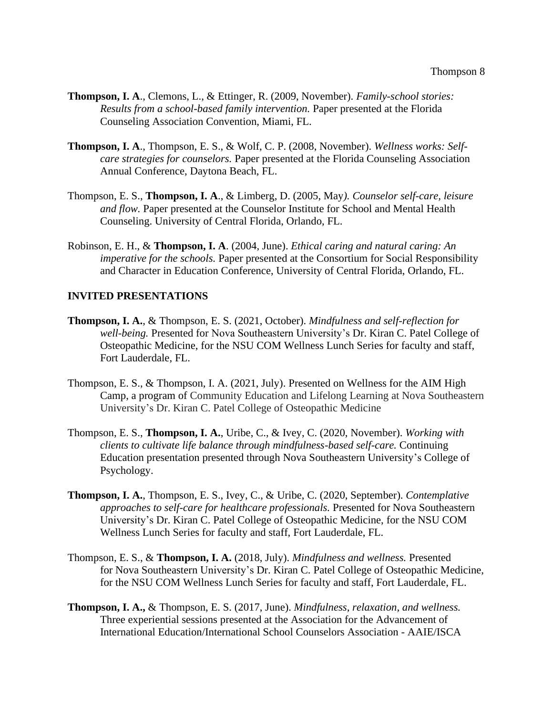- **Thompson, I. A**., Clemons, L., & Ettinger, R. (2009, November). *Family-school stories: Results from a school-based family intervention.* Paper presented at the Florida Counseling Association Convention, Miami, FL.
- **Thompson, I. A**., Thompson, E. S., & Wolf, C. P. (2008, November). *Wellness works: Selfcare strategies for counselors.* Paper presented at the Florida Counseling Association Annual Conference, Daytona Beach, FL.
- Thompson, E. S., **Thompson, I. A**., & Limberg, D. (2005, May*). Counselor self-care, leisure and flow.* Paper presented at the Counselor Institute for School and Mental Health Counseling. University of Central Florida, Orlando, FL.
- Robinson, E. H., & **Thompson, I. A**. (2004, June). *Ethical caring and natural caring: An imperative for the schools.* Paper presented at the Consortium for Social Responsibility and Character in Education Conference, University of Central Florida, Orlando, FL.

# **INVITED PRESENTATIONS**

- **Thompson, I. A.**, & Thompson, E. S. (2021, October). *Mindfulness and self-reflection for well-being.* Presented for Nova Southeastern University's Dr. Kiran C. Patel College of Osteopathic Medicine, for the NSU COM Wellness Lunch Series for faculty and staff, Fort Lauderdale, FL.
- Thompson, E. S., & Thompson, I. A. (2021, July). Presented on Wellness for the AIM High Camp, a program of Community Education and Lifelong Learning at Nova Southeastern University's Dr. Kiran C. Patel College of Osteopathic Medicine
- Thompson, E. S., **Thompson, I. A.**, Uribe, C., & Ivey, C. (2020, November). *Working with clients to cultivate life balance through mindfulness-based self-care.* Continuing Education presentation presented through Nova Southeastern University's College of Psychology.
- **Thompson, I. A.**, Thompson, E. S., Ivey, C., & Uribe, C. (2020, September). *Contemplative approaches to self-care for healthcare professionals.* Presented for Nova Southeastern University's Dr. Kiran C. Patel College of Osteopathic Medicine, for the NSU COM Wellness Lunch Series for faculty and staff, Fort Lauderdale, FL.
- Thompson, E. S., & **Thompson, I. A.** (2018, July). *Mindfulness and wellness.* Presented for Nova Southeastern University's Dr. Kiran C. Patel College of Osteopathic Medicine, for the NSU COM Wellness Lunch Series for faculty and staff, Fort Lauderdale, FL.
- **Thompson, I. A.,** & Thompson, E. S. (2017, June). *Mindfulness, relaxation, and wellness.* Three experiential sessions presented at the Association for the Advancement of International Education/International School Counselors Association - AAIE/ISCA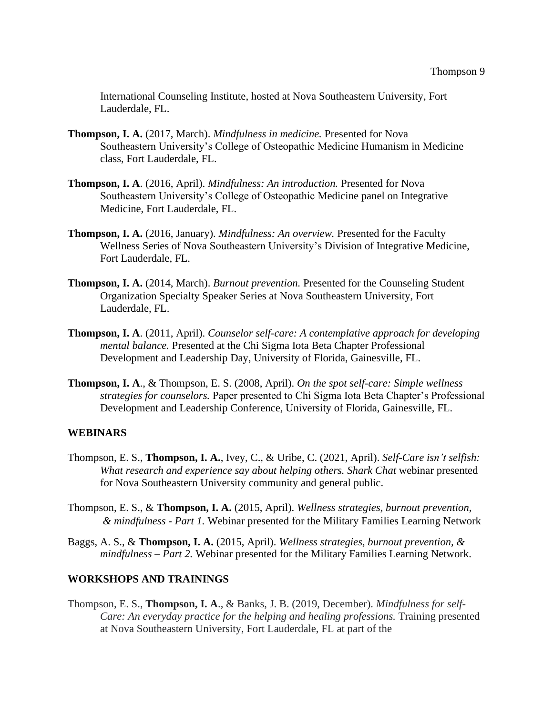International Counseling Institute, hosted at Nova Southeastern University, Fort Lauderdale, FL.

- **Thompson, I. A.** (2017, March). *Mindfulness in medicine.* Presented for Nova Southeastern University's College of Osteopathic Medicine Humanism in Medicine class, Fort Lauderdale, FL.
- **Thompson, I. A**. (2016, April). *Mindfulness: An introduction.* Presented for Nova Southeastern University's College of Osteopathic Medicine panel on Integrative Medicine, Fort Lauderdale, FL.
- **Thompson, I. A.** (2016, January). *Mindfulness: An overview.* Presented for the Faculty Wellness Series of Nova Southeastern University's Division of Integrative Medicine, Fort Lauderdale, FL.
- **Thompson, I. A.** (2014, March). *Burnout prevention.* Presented for the Counseling Student Organization Specialty Speaker Series at Nova Southeastern University, Fort Lauderdale, FL.
- **Thompson, I. A**. (2011, April). *Counselor self-care: A contemplative approach for developing mental balance.* Presented at the Chi Sigma Iota Beta Chapter Professional Development and Leadership Day, University of Florida, Gainesville, FL.
- **Thompson, I. A**., & Thompson, E. S. (2008, April). *On the spot self-care: Simple wellness strategies for counselors.* Paper presented to Chi Sigma Iota Beta Chapter's Professional Development and Leadership Conference, University of Florida, Gainesville, FL.

#### **WEBINARS**

- Thompson, E. S., **Thompson, I. A.**, Ivey, C., & Uribe, C. (2021, April). *Self-Care isn't selfish: What research and experience say about helping others. Shark Chat* webinar presented for Nova Southeastern University community and general public.
- Thompson, E. S., & **Thompson, I. A.** (2015, April). *Wellness strategies, burnout prevention, & mindfulness - Part 1.* Webinar presented for the Military Families Learning Network
- Baggs, A. S., & **Thompson, I. A.** (2015, April). *Wellness strategies, burnout prevention, & mindfulness – Part 2.* Webinar presented for the Military Families Learning Network.

### **WORKSHOPS AND TRAININGS**

Thompson, E. S., **Thompson, I. A**., & Banks, J. B. (2019, December). *Mindfulness for self-Care: An everyday practice for the helping and healing professions. Training presented* at Nova Southeastern University, Fort Lauderdale, FL at part of the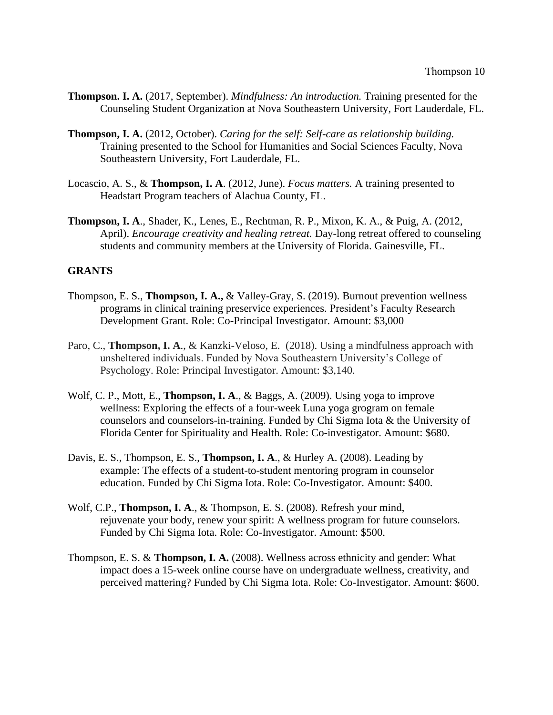- **Thompson. I. A.** (2017, September). *Mindfulness: An introduction.* Training presented for the Counseling Student Organization at Nova Southeastern University, Fort Lauderdale, FL.
- **Thompson, I. A.** (2012, October). *Caring for the self: Self-care as relationship building.* Training presented to the School for Humanities and Social Sciences Faculty, Nova Southeastern University, Fort Lauderdale, FL.
- Locascio, A. S., & **Thompson, I. A**. (2012, June). *Focus matters.* A training presented to Headstart Program teachers of Alachua County, FL.
- **Thompson, I. A**., Shader, K., Lenes, E., Rechtman, R. P., Mixon, K. A., & Puig, A. (2012, April). *Encourage creativity and healing retreat.* Day-long retreat offered to counseling students and community members at the University of Florida. Gainesville, FL.

### **GRANTS**

- Thompson, E. S., **Thompson, I. A.,** & Valley-Gray, S. (2019). Burnout prevention wellness programs in clinical training preservice experiences. President's Faculty Research Development Grant. Role: Co-Principal Investigator. Amount: \$3,000
- Paro, C., **Thompson, I. A**., & Kanzki-Veloso, E. (2018). Using a mindfulness approach with unsheltered individuals. Funded by Nova Southeastern University's College of Psychology. Role: Principal Investigator. Amount: \$3,140.
- Wolf, C. P., Mott, E., **Thompson, I. A**., & Baggs, A. (2009). Using yoga to improve wellness: Exploring the effects of a four-week Luna yoga grogram on female counselors and counselors-in-training. Funded by Chi Sigma Iota & the University of Florida Center for Spirituality and Health. Role: Co-investigator. Amount: \$680.
- Davis, E. S., Thompson, E. S., **Thompson, I. A**., & Hurley A. (2008). Leading by example: The effects of a student-to-student mentoring program in counselor education. Funded by Chi Sigma Iota. Role: Co-Investigator. Amount: \$400.
- Wolf, C.P., **Thompson, I. A**., & Thompson, E. S. (2008). Refresh your mind, rejuvenate your body, renew your spirit: A wellness program for future counselors. Funded by Chi Sigma Iota. Role: Co-Investigator. Amount: \$500.
- Thompson, E. S. & **Thompson, I. A.** (2008). Wellness across ethnicity and gender: What impact does a 15-week online course have on undergraduate wellness, creativity, and perceived mattering? Funded by Chi Sigma Iota. Role: Co-Investigator. Amount: \$600.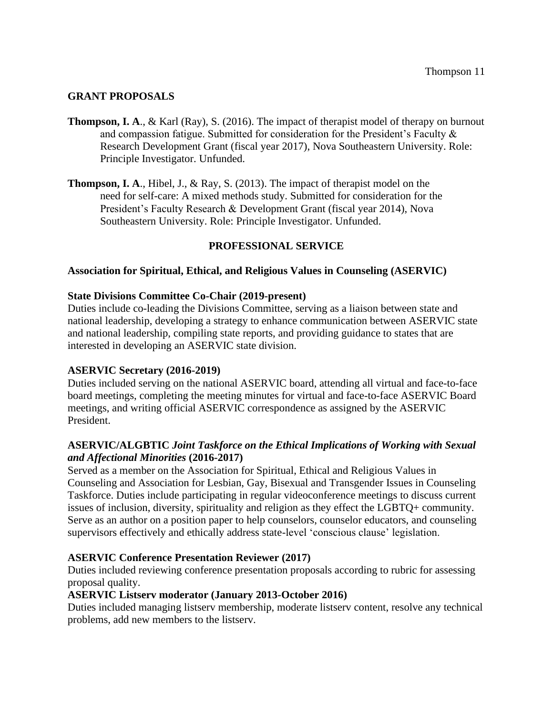# **GRANT PROPOSALS**

- **Thompson, I. A**., & Karl (Ray), S. (2016). The impact of therapist model of therapy on burnout and compassion fatigue. Submitted for consideration for the President's Faculty & Research Development Grant (fiscal year 2017), Nova Southeastern University. Role: Principle Investigator. Unfunded.
- **Thompson, I. A**., Hibel, J., & Ray, S. (2013). The impact of therapist model on the need for self-care: A mixed methods study. Submitted for consideration for the President's Faculty Research & Development Grant (fiscal year 2014), Nova Southeastern University. Role: Principle Investigator. Unfunded.

# **PROFESSIONAL SERVICE**

# **Association for Spiritual, Ethical, and Religious Values in Counseling (ASERVIC)**

### **State Divisions Committee Co-Chair (2019-present)**

Duties include co-leading the Divisions Committee, serving as a liaison between state and national leadership, developing a strategy to enhance communication between ASERVIC state and national leadership, compiling state reports, and providing guidance to states that are interested in developing an ASERVIC state division.

### **ASERVIC Secretary (2016-2019)**

Duties included serving on the national ASERVIC board, attending all virtual and face-to-face board meetings, completing the meeting minutes for virtual and face-to-face ASERVIC Board meetings, and writing official ASERVIC correspondence as assigned by the ASERVIC President.

# **ASERVIC/ALGBTIC** *Joint Taskforce on the Ethical Implications of Working with Sexual and Affectional Minorities* **(2016-2017)**

Served as a member on the Association for Spiritual, Ethical and Religious Values in Counseling and Association for Lesbian, Gay, Bisexual and Transgender Issues in Counseling Taskforce. Duties include participating in regular videoconference meetings to discuss current issues of inclusion, diversity, spirituality and religion as they effect the LGBTQ+ community. Serve as an author on a position paper to help counselors, counselor educators, and counseling supervisors effectively and ethically address state-level 'conscious clause' legislation.

### **ASERVIC Conference Presentation Reviewer (2017)**

Duties included reviewing conference presentation proposals according to rubric for assessing proposal quality.

### **ASERVIC Listserv moderator (January 2013-October 2016)**

Duties included managing listserv membership, moderate listserv content, resolve any technical problems, add new members to the listserv.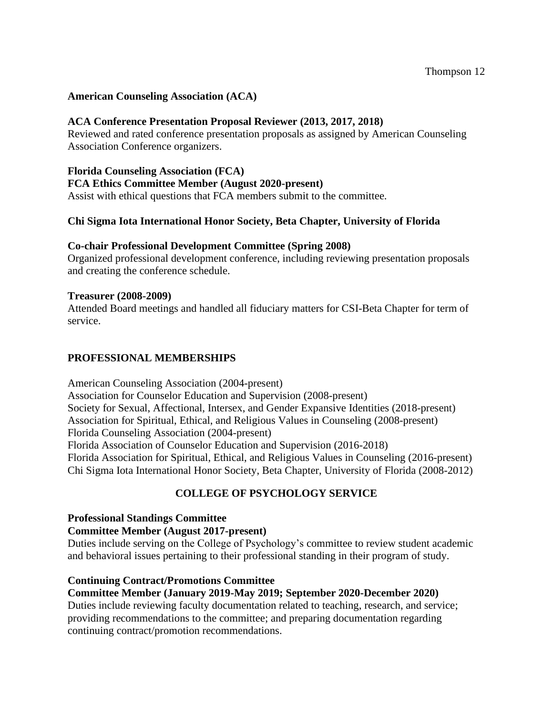# **American Counseling Association (ACA)**

# **ACA Conference Presentation Proposal Reviewer (2013, 2017, 2018)**

Reviewed and rated conference presentation proposals as assigned by American Counseling Association Conference organizers.

# **Florida Counseling Association (FCA)**

**FCA Ethics Committee Member (August 2020-present)**

Assist with ethical questions that FCA members submit to the committee.

# **Chi Sigma Iota International Honor Society, Beta Chapter, University of Florida**

### **Co-chair Professional Development Committee (Spring 2008)**

Organized professional development conference, including reviewing presentation proposals and creating the conference schedule.

#### **Treasurer (2008-2009)**

Attended Board meetings and handled all fiduciary matters for CSI-Beta Chapter for term of service.

# **PROFESSIONAL MEMBERSHIPS**

American Counseling Association (2004-present) Association for Counselor Education and Supervision (2008-present) Society for Sexual, Affectional, Intersex, and Gender Expansive Identities (2018-present) Association for Spiritual, Ethical, and Religious Values in Counseling (2008-present) Florida Counseling Association (2004-present) Florida Association of Counselor Education and Supervision (2016-2018) Florida Association for Spiritual, Ethical, and Religious Values in Counseling (2016-present) Chi Sigma Iota International Honor Society, Beta Chapter, University of Florida (2008-2012)

# **COLLEGE OF PSYCHOLOGY SERVICE**

### **Professional Standings Committee**

#### **Committee Member (August 2017-present)**

Duties include serving on the College of Psychology's committee to review student academic and behavioral issues pertaining to their professional standing in their program of study.

### **Continuing Contract/Promotions Committee**

# **Committee Member (January 2019-May 2019; September 2020-December 2020)**

Duties include reviewing faculty documentation related to teaching, research, and service; providing recommendations to the committee; and preparing documentation regarding continuing contract/promotion recommendations.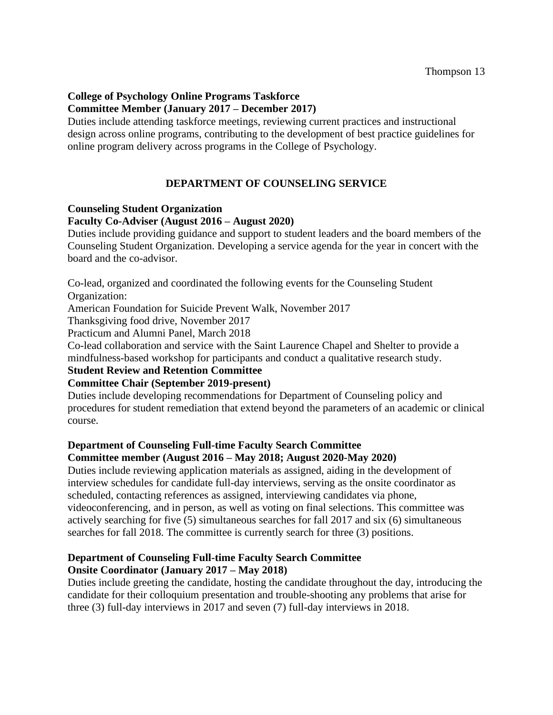# **College of Psychology Online Programs Taskforce Committee Member (January 2017 – December 2017)**

Duties include attending taskforce meetings, reviewing current practices and instructional design across online programs, contributing to the development of best practice guidelines for online program delivery across programs in the College of Psychology.

# **DEPARTMENT OF COUNSELING SERVICE**

# **Counseling Student Organization**

# **Faculty Co-Adviser (August 2016 – August 2020)**

Duties include providing guidance and support to student leaders and the board members of the Counseling Student Organization. Developing a service agenda for the year in concert with the board and the co-advisor.

Co-lead, organized and coordinated the following events for the Counseling Student Organization:

American Foundation for Suicide Prevent Walk, November 2017

Thanksgiving food drive, November 2017

Practicum and Alumni Panel, March 2018

Co-lead collaboration and service with the Saint Laurence Chapel and Shelter to provide a mindfulness-based workshop for participants and conduct a qualitative research study.

# **Student Review and Retention Committee**

### **Committee Chair (September 2019-present)**

Duties include developing recommendations for Department of Counseling policy and procedures for student remediation that extend beyond the parameters of an academic or clinical course.

# **Department of Counseling Full-time Faculty Search Committee**

# **Committee member (August 2016 – May 2018; August 2020-May 2020)**

Duties include reviewing application materials as assigned, aiding in the development of interview schedules for candidate full-day interviews, serving as the onsite coordinator as scheduled, contacting references as assigned, interviewing candidates via phone, videoconferencing, and in person, as well as voting on final selections. This committee was actively searching for five (5) simultaneous searches for fall 2017 and six (6) simultaneous searches for fall 2018. The committee is currently search for three (3) positions.

# **Department of Counseling Full-time Faculty Search Committee Onsite Coordinator (January 2017 – May 2018)**

Duties include greeting the candidate, hosting the candidate throughout the day, introducing the candidate for their colloquium presentation and trouble-shooting any problems that arise for three (3) full-day interviews in 2017 and seven (7) full-day interviews in 2018.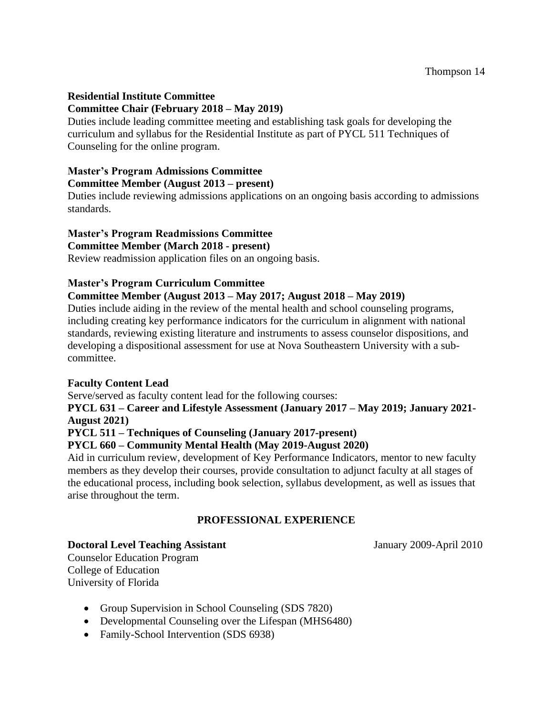# **Residential Institute Committee Committee Chair (February 2018 – May 2019)**

Duties include leading committee meeting and establishing task goals for developing the curriculum and syllabus for the Residential Institute as part of PYCL 511 Techniques of Counseling for the online program.

# **Master's Program Admissions Committee**

# **Committee Member (August 2013 – present)**

Duties include reviewing admissions applications on an ongoing basis according to admissions standards.

# **Master's Program Readmissions Committee**

#### **Committee Member (March 2018 - present)**

Review readmission application files on an ongoing basis.

### **Master's Program Curriculum Committee**

# **Committee Member (August 2013 – May 2017; August 2018 – May 2019)**

Duties include aiding in the review of the mental health and school counseling programs, including creating key performance indicators for the curriculum in alignment with national standards, reviewing existing literature and instruments to assess counselor dispositions, and developing a dispositional assessment for use at Nova Southeastern University with a subcommittee.

### **Faculty Content Lead**

Serve/served as faculty content lead for the following courses:

**PYCL 631 – Career and Lifestyle Assessment (January 2017 – May 2019; January 2021- August 2021)**

# **PYCL 511 – Techniques of Counseling (January 2017-present)**

# **PYCL 660 – Community Mental Health (May 2019-August 2020)**

Aid in curriculum review, development of Key Performance Indicators, mentor to new faculty members as they develop their courses, provide consultation to adjunct faculty at all stages of the educational process, including book selection, syllabus development, as well as issues that arise throughout the term.

# **PROFESSIONAL EXPERIENCE**

### **Doctoral Level Teaching Assistant** January 2009-April 2010

Counselor Education Program College of Education University of Florida

- Group Supervision in School Counseling (SDS 7820)
- Developmental Counseling over the Lifespan (MHS6480)
- Family-School Intervention (SDS 6938)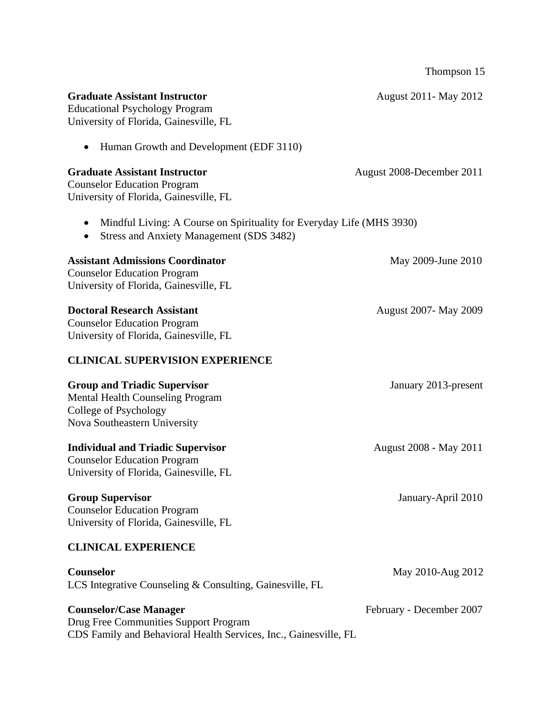|                                                                                                                                            | Thompson 15                  |
|--------------------------------------------------------------------------------------------------------------------------------------------|------------------------------|
| <b>Graduate Assistant Instructor</b><br><b>Educational Psychology Program</b><br>University of Florida, Gainesville, FL                    | August 2011 - May 2012       |
| Human Growth and Development (EDF 3110)                                                                                                    |                              |
| <b>Graduate Assistant Instructor</b><br><b>Counselor Education Program</b><br>University of Florida, Gainesville, FL                       | August 2008-December 2011    |
| Mindful Living: A Course on Spirituality for Everyday Life (MHS 3930)<br>٠<br><b>Stress and Anxiety Management (SDS 3482)</b><br>٠         |                              |
| <b>Assistant Admissions Coordinator</b><br><b>Counselor Education Program</b><br>University of Florida, Gainesville, FL                    | May 2009-June 2010           |
| <b>Doctoral Research Assistant</b><br><b>Counselor Education Program</b><br>University of Florida, Gainesville, FL                         | <b>August 2007- May 2009</b> |
| <b>CLINICAL SUPERVISION EXPERIENCE</b>                                                                                                     |                              |
| <b>Group and Triadic Supervisor</b><br><b>Mental Health Counseling Program</b><br>College of Psychology<br>Nova Southeastern University    | January 2013-present         |
| <b>Individual and Triadic Supervisor</b><br><b>Counselor Education Program</b><br>University of Florida, Gainesville, FL                   | August 2008 - May 2011       |
| <b>Group Supervisor</b><br><b>Counselor Education Program</b><br>University of Florida, Gainesville, FL                                    | January-April 2010           |
| <b>CLINICAL EXPERIENCE</b>                                                                                                                 |                              |
| Counselor<br>LCS Integrative Counseling & Consulting, Gainesville, FL                                                                      | May 2010-Aug 2012            |
| <b>Counselor/Case Manager</b><br>Drug Free Communities Support Program<br>CDS Family and Behavioral Health Services, Inc., Gainesville, FL | February - December 2007     |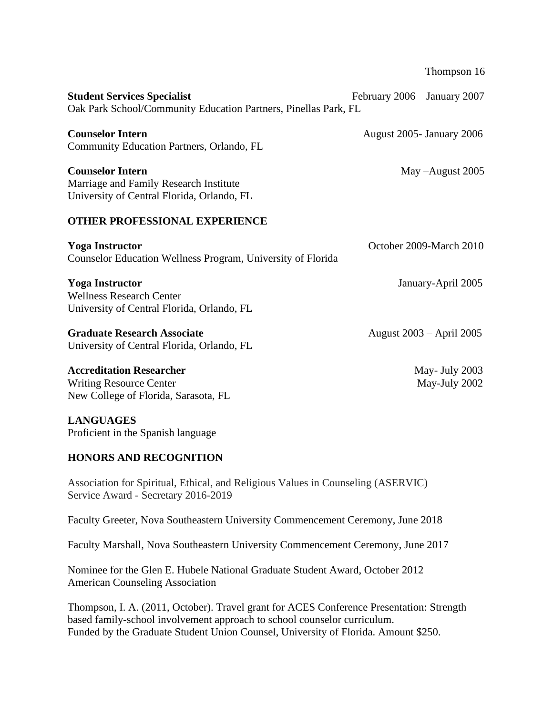Thompson 16

| <b>Student Services Specialist</b><br>Oak Park School/Community Education Partners, Pinellas Park, FL           | February 2006 - January 2007    |  |
|-----------------------------------------------------------------------------------------------------------------|---------------------------------|--|
| <b>Counselor Intern</b><br>Community Education Partners, Orlando, FL                                            | August 2005 - January 2006      |  |
| <b>Counselor Intern</b><br>Marriage and Family Research Institute<br>University of Central Florida, Orlando, FL | May -August 2005                |  |
| <b>OTHER PROFESSIONAL EXPERIENCE</b>                                                                            |                                 |  |
| <b>Yoga Instructor</b><br>Counselor Education Wellness Program, University of Florida                           | October 2009-March 2010         |  |
| <b>Yoga Instructor</b><br><b>Wellness Research Center</b><br>University of Central Florida, Orlando, FL         | January-April 2005              |  |
| <b>Graduate Research Associate</b><br>University of Central Florida, Orlando, FL                                | August 2003 – April 2005        |  |
| <b>Accreditation Researcher</b><br><b>Writing Resource Center</b><br>New College of Florida, Sarasota, FL       | May- July 2003<br>May-July 2002 |  |

#### **LANGUAGES** Proficient in the Spanish language

### **HONORS AND RECOGNITION**

Association for Spiritual, Ethical, and Religious Values in Counseling (ASERVIC) Service Award - Secretary 2016-2019

Faculty Greeter, Nova Southeastern University Commencement Ceremony, June 2018

Faculty Marshall, Nova Southeastern University Commencement Ceremony, June 2017

Nominee for the Glen E. Hubele National Graduate Student Award, October 2012 American Counseling Association

Thompson, I. A. (2011, October). Travel grant for ACES Conference Presentation: Strength based family-school involvement approach to school counselor curriculum. Funded by the Graduate Student Union Counsel, University of Florida. Amount \$250.